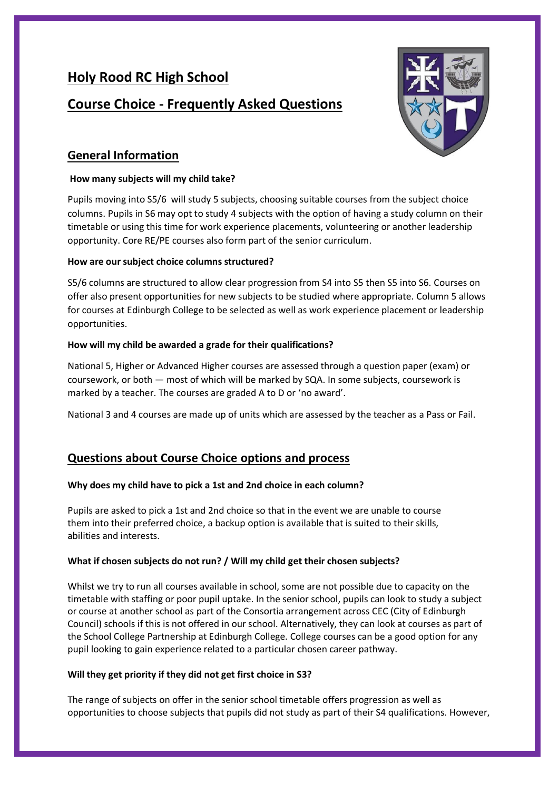# **Holy Rood RC High School**

# **Course Choice - Frequently Asked Questions**



# **General Information**

#### **How many subjects will my child take?**

Pupils moving into S5/6 will study 5 subjects, choosing suitable courses from the subject choice columns. Pupils in S6 may opt to study 4 subjects with the option of having a study column on their timetable or using this time for work experience placements, volunteering or another leadership opportunity. Core RE/PE courses also form part of the senior curriculum.

### **How are our subject choice columns structured?**

S5/6 columns are structured to allow clear progression from S4 into S5 then S5 into S6. Courses on offer also present opportunities for new subjects to be studied where appropriate. Column 5 allows for courses at Edinburgh College to be selected as well as work experience placement or leadership opportunities.

### **How will my child be awarded a grade for their qualifications?**

National 5, Higher or Advanced Higher courses are assessed through a question paper (exam) or coursework, or both — most of which will be marked by SQA. In some subjects, coursework is marked by a teacher. The courses are graded A to D or 'no award'.

National 3 and 4 courses are made up of units which are assessed by the teacher as a Pass or Fail.

# **Questions about Course Choice options and process**

#### **Why does my child have to pick a 1st and 2nd choice in each column?**

Pupils are asked to pick a 1st and 2nd choice so that in the event we are unable to course them into their preferred choice, a backup option is available that is suited to their skills, abilities and interests.

#### **What if chosen subjects do not run? / Will my child get their chosen subjects?**

Whilst we try to run all courses available in school, some are not possible due to capacity on the timetable with staffing or poor pupil uptake. In the senior school, pupils can look to study a subject or course at another school as part of the Consortia arrangement across CEC (City of Edinburgh Council) schools if this is not offered in our school. Alternatively, they can look at courses as part of the School College Partnership at Edinburgh College. College courses can be a good option for any pupil looking to gain experience related to a particular chosen career pathway.

#### **Will they get priority if they did not get first choice in S3?**

The range of subjects on offer in the senior school timetable offers progression as well as opportunities to choose subjects that pupils did not study as part of their S4 qualifications. However,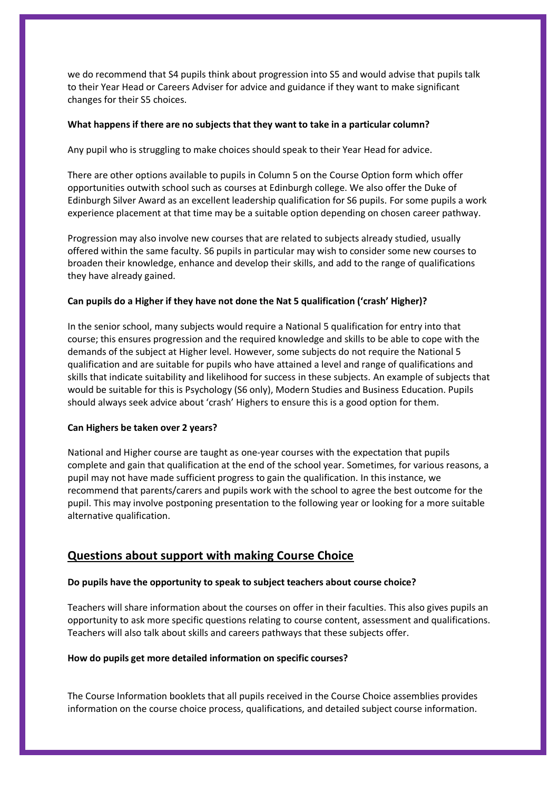we do recommend that S4 pupils think about progression into S5 and would advise that pupils talk to their Year Head or Careers Adviser for advice and guidance if they want to make significant changes for their S5 choices.

#### **What happens if there are no subjects that they want to take in a particular column?**

Any pupil who is struggling to make choices should speak to their Year Head for advice.

There are other options available to pupils in Column 5 on the Course Option form which offer opportunities outwith school such as courses at Edinburgh college. We also offer the Duke of Edinburgh Silver Award as an excellent leadership qualification for S6 pupils. For some pupils a work experience placement at that time may be a suitable option depending on chosen career pathway.

Progression may also involve new courses that are related to subjects already studied, usually offered within the same faculty. S6 pupils in particular may wish to consider some new courses to broaden their knowledge, enhance and develop their skills, and add to the range of qualifications they have already gained.

#### **Can pupils do a Higher if they have not done the Nat 5 qualification ('crash' Higher)?**

In the senior school, many subjects would require a National 5 qualification for entry into that course; this ensures progression and the required knowledge and skills to be able to cope with the demands of the subject at Higher level. However, some subjects do not require the National 5 qualification and are suitable for pupils who have attained a level and range of qualifications and skills that indicate suitability and likelihood for success in these subjects. An example of subjects that would be suitable for this is Psychology (S6 only), Modern Studies and Business Education. Pupils should always seek advice about 'crash' Highers to ensure this is a good option for them.

#### **Can Highers be taken over 2 years?**

National and Higher course are taught as one-year courses with the expectation that pupils complete and gain that qualification at the end of the school year. Sometimes, for various reasons, a pupil may not have made sufficient progress to gain the qualification. In this instance, we recommend that parents/carers and pupils work with the school to agree the best outcome for the pupil. This may involve postponing presentation to the following year or looking for a more suitable alternative qualification.

## **Questions about support with making Course Choice**

#### **Do pupils have the opportunity to speak to subject teachers about course choice?**

Teachers will share information about the courses on offer in their faculties. This also gives pupils an opportunity to ask more specific questions relating to course content, assessment and qualifications. Teachers will also talk about skills and careers pathways that these subjects offer.

#### **How do pupils get more detailed information on specific courses?**

The Course Information booklets that all pupils received in the Course Choice assemblies provides information on the course choice process, qualifications, and detailed subject course information.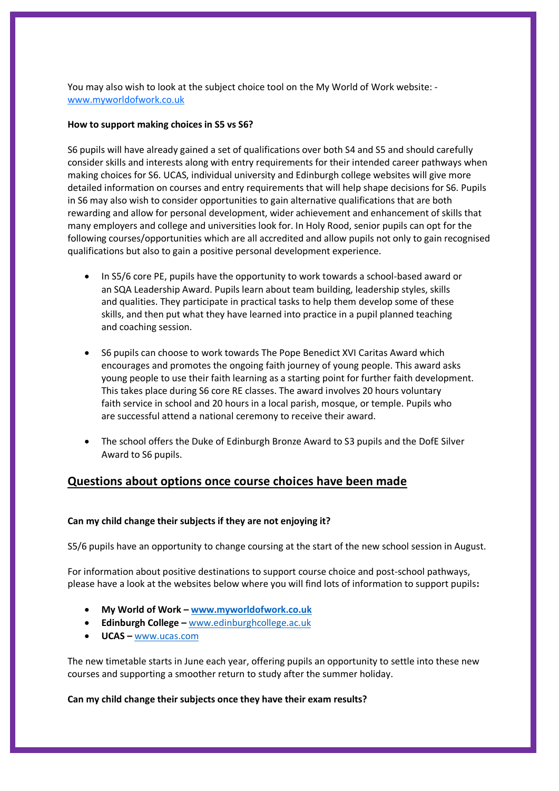You may also wish to look at the subject choice tool on the My World of Work website: [www.myworldofwork.co.uk](http://www.myworldofwork.co.uk/)

#### **How to support making choices in S5 vs S6?**

S6 pupils will have already gained a set of qualifications over both S4 and S5 and should carefully consider skills and interests along with entry requirements for their intended career pathways when making choices for S6. UCAS, individual university and Edinburgh college websites will give more detailed information on courses and entry requirements that will help shape decisions for S6. Pupils in S6 may also wish to consider opportunities to gain alternative qualifications that are both rewarding and allow for personal development, wider achievement and enhancement of skills that many employers and college and universities look for. In Holy Rood, senior pupils can opt for the following courses/opportunities which are all accredited and allow pupils not only to gain recognised qualifications but also to gain a positive personal development experience.

- In S5/6 core PE, pupils have the opportunity to work towards a school-based award or an SQA Leadership Award. Pupils learn about team building, leadership styles, skills and qualities. They participate in practical tasks to help them develop some of these skills, and then put what they have learned into practice in a pupil planned teaching and coaching session.
- S6 pupils can choose to work towards The Pope Benedict XVI Caritas Award which encourages and promotes the ongoing faith journey of young people. This award asks young people to use their faith learning as a starting point for further faith development. This takes place during S6 core RE classes. The award involves 20 hours voluntary faith service in school and 20 hours in a local parish, mosque, or temple. Pupils who are successful attend a national ceremony to receive their award.
- The school offers the Duke of Edinburgh Bronze Award to S3 pupils and the DofE Silver Award to S6 pupils.

## **Questions about options once course choices have been made**

#### **Can my child change their subjects if they are not enjoying it?**

S5/6 pupils have an opportunity to change coursing at the start of the new school session in August.

For information about positive destinations to support course choice and post-school pathways, please have a look at the websites below where you will find lots of information to support pupils**:**

- **My World of Work – [www.myworldofwork.co.uk](http://www.myworldofwork.co.uk/)**
- **Edinburgh College –** [www.edinburghcollege.ac.uk](http://www.edinburghcollege.ac.uk/)
- **UCAS –** [www.ucas.com](http://www.ucas.com/)

The new timetable starts in June each year, offering pupils an opportunity to settle into these new courses and supporting a smoother return to study after the summer holiday.

#### **Can my child change their subjects once they have their exam results?**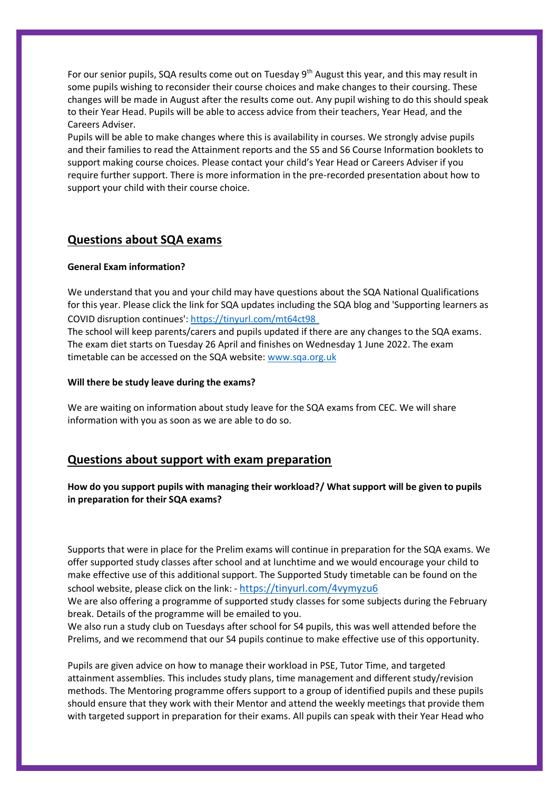For our senior pupils, SQA results come out on Tuesday  $9<sup>th</sup>$  August this year, and this may result in some pupils wishing to reconsider their course choices and make changes to their coursing. These changes will be made in August after the results come out. Any pupil wishing to do this should speak to their Year Head. Pupils will be able to access advice from their teachers, Year Head, and the Careers Adviser.

Pupils will be able to make changes where this is availability in courses. We strongly advise pupils and their families to read the Attainment reports and the S5 and S6 Course Information booklets to support making course choices. Please contact your child's Year Head or Careers Adviser if you require further support. There is more information in the pre-recorded presentation about how to support your child with their course choice.

### **Questions about SQA exams**

#### **General Exam information?**

We understand that you and your child may have questions about the SQA National Qualifications for this year. Please click the link for SQA updates including the SQA blog and 'Supporting learners as COVID disruption continues': [https://tinyurl.com/mt64ct98](https://tinyurl.com/mt64ct98 )

The school will keep parents/carers and pupils updated if there are any changes to the SQA exams. The exam diet starts on Tuesday 26 April and finishes on Wednesday 1 June 2022. The exam timetable can be accessed on the SQA website: [www.sqa.org.uk](http://www.sqa.org.uk/)

#### **Will there be study leave during the exams?**

We are waiting on information about study leave for the SQA exams from CEC. We will share information with you as soon as we are able to do so.

## **Questions about support with exam preparation**

#### **How do you support pupils with managing their workload?/ What support will be given to pupils in preparation for their SQA exams?**

Supports that were in place for the Prelim exams will continue in preparation for the SQA exams. We offer supported study classes after school and at lunchtime and we would encourage your child to make effective use of this additional support. The Supported Study timetable can be found on the school website, please click on the link: - <https://tinyurl.com/4vymyzu6>

We are also offering a programme of supported study classes for some subjects during the February break. Details of the programme will be emailed to you.

We also run a study club on Tuesdays after school for S4 pupils, this was well attended before the Prelims, and we recommend that our S4 pupils continue to make effective use of this opportunity.

Pupils are given advice on how to manage their workload in PSE, Tutor Time, and targeted attainment assemblies. This includes study plans, time management and different study/revision methods. The Mentoring programme offers support to a group of identified pupils and these pupils should ensure that they work with their Mentor and attend the weekly meetings that provide them with targeted support in preparation for their exams. All pupils can speak with their Year Head who